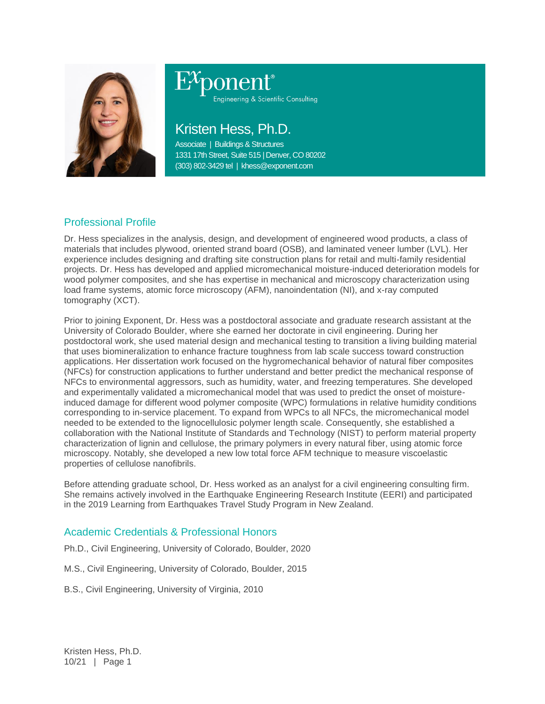

# ponent® Engineering & Scientific Consulting

## Kristen Hess, Ph.D.

Associate | Buildings & Structures 1331 17th Street, Suite 515 | Denver, CO 80202 (303) 802-3429 tel | khess@exponent.com

### Professional Profile

Dr. Hess specializes in the analysis, design, and development of engineered wood products, a class of materials that includes plywood, oriented strand board (OSB), and laminated veneer lumber (LVL). Her experience includes designing and drafting site construction plans for retail and multi-family residential projects. Dr. Hess has developed and applied micromechanical moisture-induced deterioration models for wood polymer composites, and she has expertise in mechanical and microscopy characterization using load frame systems, atomic force microscopy (AFM), nanoindentation (NI), and x-ray computed tomography (XCT).

Prior to joining Exponent, Dr. Hess was a postdoctoral associate and graduate research assistant at the University of Colorado Boulder, where she earned her doctorate in civil engineering. During her postdoctoral work, she used material design and mechanical testing to transition a living building material that uses biomineralization to enhance fracture toughness from lab scale success toward construction applications. Her dissertation work focused on the hygromechanical behavior of natural fiber composites (NFCs) for construction applications to further understand and better predict the mechanical response of NFCs to environmental aggressors, such as humidity, water, and freezing temperatures. She developed and experimentally validated a micromechanical model that was used to predict the onset of moistureinduced damage for different wood polymer composite (WPC) formulations in relative humidity conditions corresponding to in-service placement. To expand from WPCs to all NFCs, the micromechanical model needed to be extended to the lignocellulosic polymer length scale. Consequently, she established a collaboration with the National Institute of Standards and Technology (NIST) to perform material property characterization of lignin and cellulose, the primary polymers in every natural fiber, using atomic force microscopy. Notably, she developed a new low total force AFM technique to measure viscoelastic properties of cellulose nanofibrils.

Before attending graduate school, Dr. Hess worked as an analyst for a civil engineering consulting firm. She remains actively involved in the Earthquake Engineering Research Institute (EERI) and participated in the 2019 Learning from Earthquakes Travel Study Program in New Zealand.

#### Academic Credentials & Professional Honors

Ph.D., Civil Engineering, University of Colorado, Boulder, 2020

M.S., Civil Engineering, University of Colorado, Boulder, 2015

B.S., Civil Engineering, University of Virginia, 2010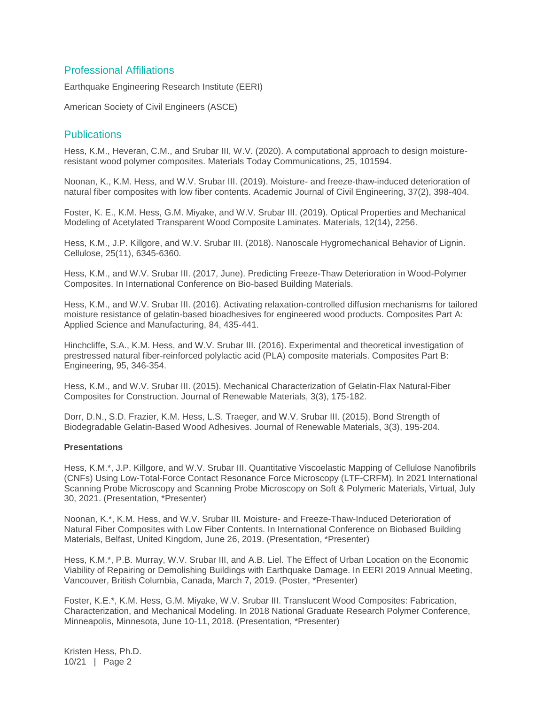#### Professional Affiliations

Earthquake Engineering Research Institute (EERI)

American Society of Civil Engineers (ASCE)

#### **Publications**

Hess, K.M., Heveran, C.M., and Srubar III, W.V. (2020). A computational approach to design moistureresistant wood polymer composites. Materials Today Communications, 25, 101594.

Noonan, K., K.M. Hess, and W.V. Srubar III. (2019). Moisture- and freeze-thaw-induced deterioration of natural fiber composites with low fiber contents. Academic Journal of Civil Engineering, 37(2), 398-404.

Foster, K. E., K.M. Hess, G.M. Miyake, and W.V. Srubar III. (2019). Optical Properties and Mechanical Modeling of Acetylated Transparent Wood Composite Laminates. Materials, 12(14), 2256.

Hess, K.M., J.P. Killgore, and W.V. Srubar III. (2018). Nanoscale Hygromechanical Behavior of Lignin. Cellulose, 25(11), 6345-6360.

Hess, K.M., and W.V. Srubar III. (2017, June). Predicting Freeze-Thaw Deterioration in Wood-Polymer Composites. In International Conference on Bio-based Building Materials.

Hess, K.M., and W.V. Srubar III. (2016). Activating relaxation-controlled diffusion mechanisms for tailored moisture resistance of gelatin-based bioadhesives for engineered wood products. Composites Part A: Applied Science and Manufacturing, 84, 435-441.

Hinchcliffe, S.A., K.M. Hess, and W.V. Srubar III. (2016). Experimental and theoretical investigation of prestressed natural fiber-reinforced polylactic acid (PLA) composite materials. Composites Part B: Engineering, 95, 346-354.

Hess, K.M., and W.V. Srubar III. (2015). Mechanical Characterization of Gelatin-Flax Natural-Fiber Composites for Construction. Journal of Renewable Materials, 3(3), 175-182.

Dorr, D.N., S.D. Frazier, K.M. Hess, L.S. Traeger, and W.V. Srubar III. (2015). Bond Strength of Biodegradable Gelatin-Based Wood Adhesives. Journal of Renewable Materials, 3(3), 195-204.

#### **Presentations**

Hess, K.M.\*, J.P. Killgore, and W.V. Srubar III. Quantitative Viscoelastic Mapping of Cellulose Nanofibrils (CNFs) Using Low-Total-Force Contact Resonance Force Microscopy (LTF-CRFM). In 2021 International Scanning Probe Microscopy and Scanning Probe Microscopy on Soft & Polymeric Materials, Virtual, July 30, 2021. (Presentation, \*Presenter)

Noonan, K.\*, K.M. Hess, and W.V. Srubar III. Moisture- and Freeze-Thaw-Induced Deterioration of Natural Fiber Composites with Low Fiber Contents. In International Conference on Biobased Building Materials, Belfast, United Kingdom, June 26, 2019. (Presentation, \*Presenter)

Hess, K.M.\*, P.B. Murray, W.V. Srubar III, and A.B. Liel. The Effect of Urban Location on the Economic Viability of Repairing or Demolishing Buildings with Earthquake Damage. In EERI 2019 Annual Meeting, Vancouver, British Columbia, Canada, March 7, 2019. (Poster, \*Presenter)

Foster, K.E.\*, K.M. Hess, G.M. Miyake, W.V. Srubar III. Translucent Wood Composites: Fabrication, Characterization, and Mechanical Modeling. In 2018 National Graduate Research Polymer Conference, Minneapolis, Minnesota, June 10-11, 2018. (Presentation, \*Presenter)

Kristen Hess, Ph.D. 10/21 | Page 2